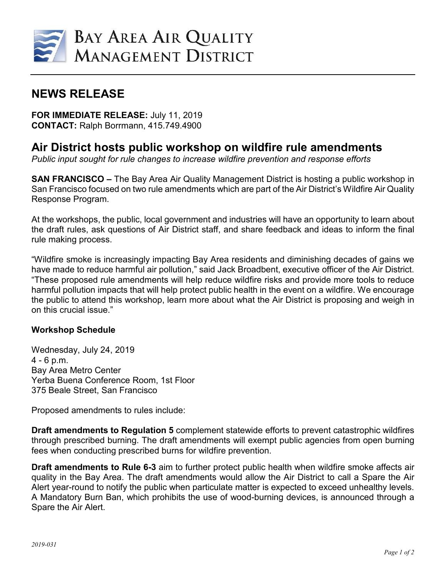

## **NEWS RELEASE**

**FOR IMMEDIATE RELEASE:** July 11, 2019 **CONTACT:** Ralph Borrmann, 415.749.4900

## **Air District hosts public workshop on wildfire rule amendments**

*Public input sought for rule changes to increase wildfire prevention and response efforts*

**SAN FRANCISCO –** The Bay Area Air Quality Management District is hosting a public workshop in San Francisco focused on two rule amendments which are part of the Air District's Wildfire Air Quality Response Program.

At the workshops, the public, local government and industries will have an opportunity to learn about the draft rules, ask questions of Air District staff, and share feedback and ideas to inform the final rule making process.

"Wildfire smoke is increasingly impacting Bay Area residents and diminishing decades of gains we have made to reduce harmful air pollution," said Jack Broadbent, executive officer of the Air District. "These proposed rule amendments will help reduce wildfire risks and provide more tools to reduce harmful pollution impacts that will help protect public health in the event on a wildfire. We encourage the public to attend this workshop, learn more about what the Air District is proposing and weigh in on this crucial issue."

## **Workshop Schedule**

Wednesday, July 24, 2019 4 - 6 p.m. Bay Area Metro Center Yerba Buena Conference Room, 1st Floor 375 Beale Street, San Francisco

Proposed amendments to rules include:

**Draft amendments to Regulation 5** complement statewide efforts to prevent catastrophic wildfires through prescribed burning. The draft amendments will exempt public agencies from open burning fees when conducting prescribed burns for wildfire prevention.

**Draft amendments to Rule 6-3** aim to further protect public health when wildfire smoke affects air quality in the Bay Area. The draft amendments would allow the Air District to call a Spare the Air Alert year-round to notify the public when particulate matter is expected to exceed unhealthy levels. A Mandatory Burn Ban, which prohibits the use of wood-burning devices, is announced through a Spare the Air Alert.